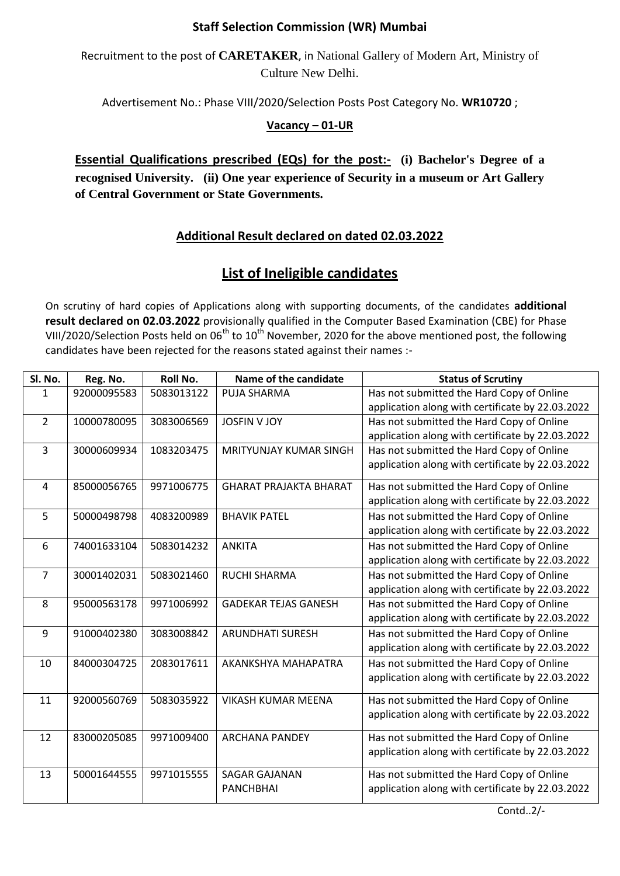## **Staff Selection Commission (WR) Mumbai**

Recruitment to the post of **CARETAKER**, in National Gallery of Modern Art, Ministry of Culture New Delhi.

Advertisement No.: Phase VIII/2020/Selection Posts Post Category No. **WR10720** ;

## **Vacancy – 01-UR**

**Essential Qualifications prescribed (EQs) for the post:- (i) Bachelor's Degree of a recognised University. (ii) One year experience of Security in a museum or Art Gallery of Central Government or State Governments.**

## **Additional Result declared on dated 02.03.2022**

## **List of Ineligible candidates**

On scrutiny of hard copies of Applications along with supporting documents, of the candidates **additional result declared on 02.03.2022** provisionally qualified in the Computer Based Examination (CBE) for Phase VIII/2020/Selection Posts held on  $06^{th}$  to  $10^{th}$  November, 2020 for the above mentioned post, the following candidates have been rejected for the reasons stated against their names :-

| Sl. No.        | Reg. No.    | Roll No.   | Name of the candidate         | <b>Status of Scrutiny</b>                                                                     |
|----------------|-------------|------------|-------------------------------|-----------------------------------------------------------------------------------------------|
| 1              | 92000095583 | 5083013122 | PUJA SHARMA                   | Has not submitted the Hard Copy of Online                                                     |
|                |             |            |                               | application along with certificate by 22.03.2022                                              |
| $\overline{2}$ | 10000780095 | 3083006569 | <b>JOSFIN V JOY</b>           | Has not submitted the Hard Copy of Online                                                     |
|                |             |            |                               | application along with certificate by 22.03.2022                                              |
| 3              | 30000609934 | 1083203475 | <b>MRITYUNJAY KUMAR SINGH</b> | Has not submitted the Hard Copy of Online                                                     |
|                |             |            |                               | application along with certificate by 22.03.2022                                              |
| 4              | 85000056765 | 9971006775 | <b>GHARAT PRAJAKTA BHARAT</b> | Has not submitted the Hard Copy of Online                                                     |
|                |             |            |                               | application along with certificate by 22.03.2022                                              |
| 5              | 50000498798 | 4083200989 | <b>BHAVIK PATEL</b>           | Has not submitted the Hard Copy of Online                                                     |
|                |             |            |                               | application along with certificate by 22.03.2022                                              |
| 6              | 74001633104 | 5083014232 | <b>ANKITA</b>                 | Has not submitted the Hard Copy of Online                                                     |
|                |             |            |                               | application along with certificate by 22.03.2022                                              |
| 7              | 30001402031 | 5083021460 | <b>RUCHI SHARMA</b>           | Has not submitted the Hard Copy of Online                                                     |
|                |             |            |                               | application along with certificate by 22.03.2022                                              |
| 8              | 95000563178 | 9971006992 | <b>GADEKAR TEJAS GANESH</b>   | Has not submitted the Hard Copy of Online                                                     |
|                |             |            |                               | application along with certificate by 22.03.2022                                              |
| 9              | 91000402380 | 3083008842 | <b>ARUNDHATI SURESH</b>       | Has not submitted the Hard Copy of Online                                                     |
|                |             |            |                               | application along with certificate by 22.03.2022                                              |
| 10             | 84000304725 | 2083017611 | AKANKSHYA MAHAPATRA           | Has not submitted the Hard Copy of Online                                                     |
|                |             |            |                               | application along with certificate by 22.03.2022                                              |
| 11             | 92000560769 | 5083035922 | <b>VIKASH KUMAR MEENA</b>     | Has not submitted the Hard Copy of Online                                                     |
|                |             |            |                               | application along with certificate by 22.03.2022                                              |
|                |             |            |                               |                                                                                               |
| 12             | 83000205085 | 9971009400 | <b>ARCHANA PANDEY</b>         | Has not submitted the Hard Copy of Online<br>application along with certificate by 22.03.2022 |
|                |             |            |                               |                                                                                               |
| 13             | 50001644555 | 9971015555 | <b>SAGAR GAJANAN</b>          | Has not submitted the Hard Copy of Online                                                     |
|                |             |            | <b>PANCHBHAI</b>              | application along with certificate by 22.03.2022                                              |
|                |             |            |                               |                                                                                               |